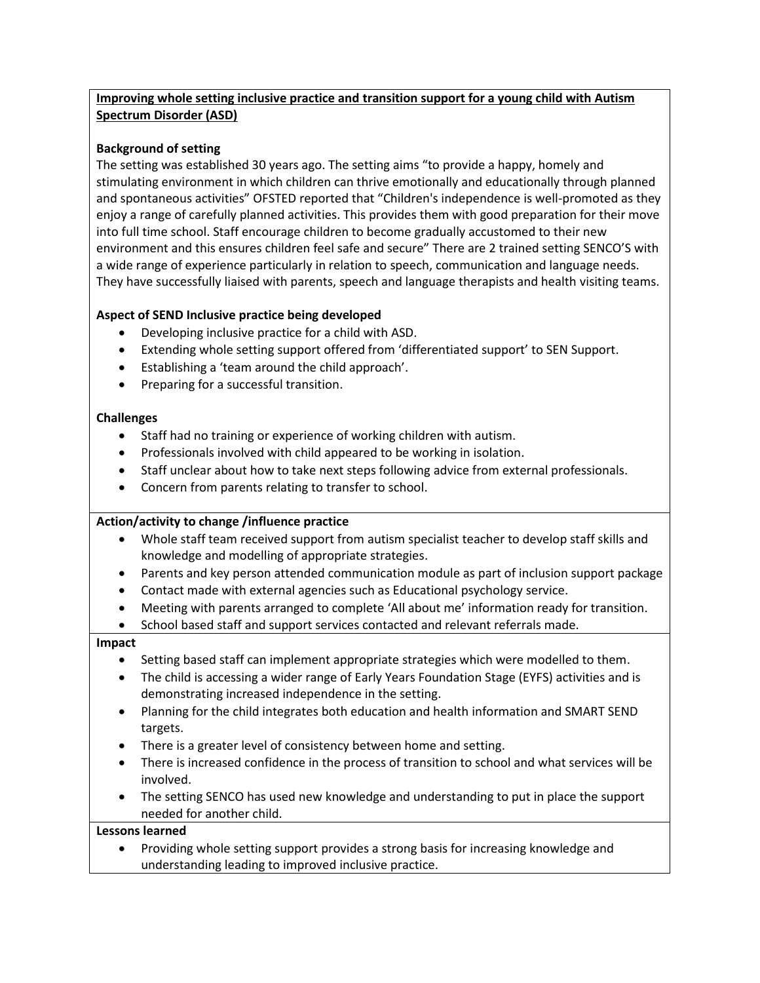# **Improving whole setting inclusive practice and transition support for a young child with Autism Spectrum Disorder (ASD)**

## **Background of setting**

The setting was established 30 years ago. The setting aims "to provide a happy, homely and stimulating environment in which children can thrive emotionally and educationally through planned and spontaneous activities" OFSTED reported that "Children's independence is well-promoted as they enjoy a range of carefully planned activities. This provides them with good preparation for their move into full time school. Staff encourage children to become gradually accustomed to their new environment and this ensures children feel safe and secure" There are 2 trained setting SENCO'S with a wide range of experience particularly in relation to speech, communication and language needs. They have successfully liaised with parents, speech and language therapists and health visiting teams.

## **Aspect of SEND Inclusive practice being developed**

- Developing inclusive practice for a child with ASD.
- Extending whole setting support offered from 'differentiated support' to SEN Support.
- Establishing a 'team around the child approach'.
- Preparing for a successful transition.

### **Challenges**

- Staff had no training or experience of working children with autism.
- Professionals involved with child appeared to be working in isolation.
- Staff unclear about how to take next steps following advice from external professionals.
- Concern from parents relating to transfer to school.

### **Action/activity to change /influence practice**

- Whole staff team received support from autism specialist teacher to develop staff skills and knowledge and modelling of appropriate strategies.
- Parents and key person attended communication module as part of inclusion support package
- Contact made with external agencies such as Educational psychology service.
- Meeting with parents arranged to complete 'All about me' information ready for transition.
- School based staff and support services contacted and relevant referrals made.

### **Impact**

- Setting based staff can implement appropriate strategies which were modelled to them.
- The child is accessing a wider range of Early Years Foundation Stage (EYFS) activities and is demonstrating increased independence in the setting.
- Planning for the child integrates both education and health information and SMART SEND targets.
- There is a greater level of consistency between home and setting.
- There is increased confidence in the process of transition to school and what services will be involved.
- The setting SENCO has used new knowledge and understanding to put in place the support needed for another child.

### **Lessons learned**

 Providing whole setting support provides a strong basis for increasing knowledge and understanding leading to improved inclusive practice.